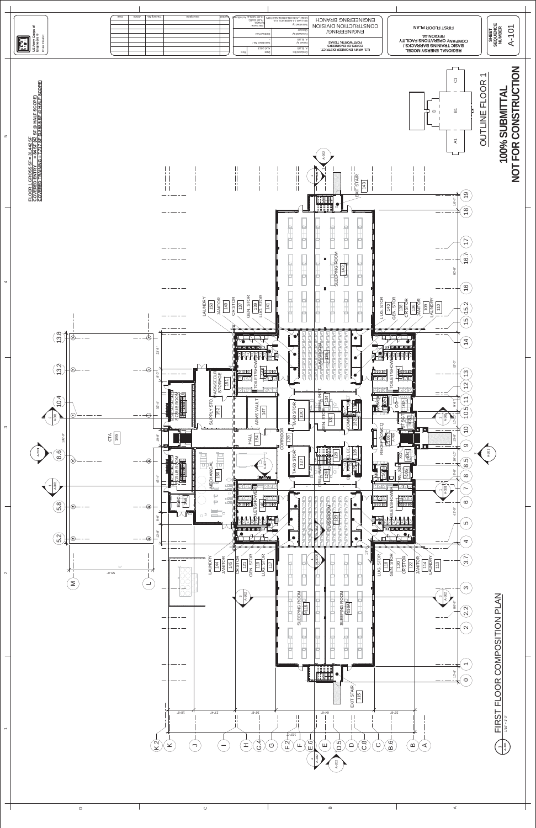

 $\hfill \Box$ 

 $\prec$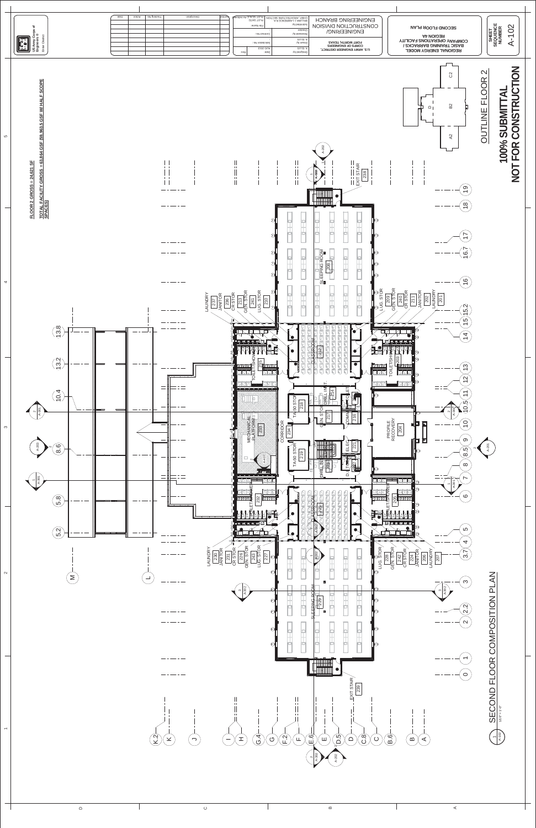

 $\prec$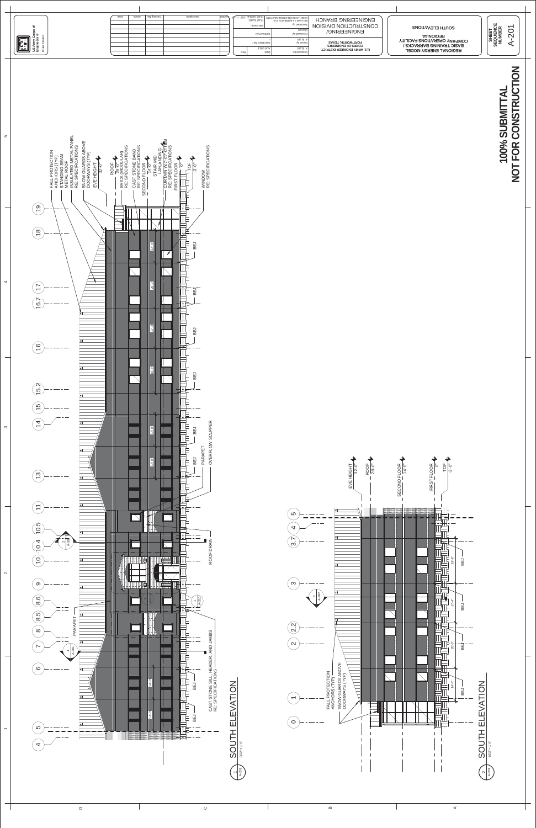## 100% SUBMITTAL<br>NOT FOR CONSTRUCTION **NOT FOR CONSTRUCTION 100% SUBMITTAL**





|            | Action | Tracking No. | Description | PLOT DATE: | File Name:<br>Contract No.:                | , CHIEF, ARCHITECTURE SECTION   PLOT SCALE: 3/32" = 1"<br>WILLIAM J. LAWRENCE R.A.<br>Submitted by:<br>лескег<br>збарьмель ру: | <b>ENCINEEKING BKYNCH</b><br><b>CONSTRUCTION DIVISION</b><br>ENCINEEKINC\      | SUUTH ELEVATIONS<br>REGION 4A                                                                          | $\circ$<br>'#팔의 |  |
|------------|--------|--------------|-------------|------------|--------------------------------------------|--------------------------------------------------------------------------------------------------------------------------------|--------------------------------------------------------------------------------|--------------------------------------------------------------------------------------------------------|-----------------|--|
| IE.<br>1E. |        |              |             |            | : oll noitstioilo?<br>AUG 2013<br>$\Theta$ | SITTE <sup>"</sup><br>rewn p.y.<br>SITTE "<br>:/d bengiseC                                                                     | FORT WORTH, TEXAS<br><b>COKЬS OF ENGINEERS</b><br>U.S. ARMY ENGINEER DISTRICT, | <b>COMPANY OPERATIONS FACILITY</b><br><b>BASIC TRAINING BARRACKS /</b><br><b>REGIONAL ENERGY MODEL</b> | ់¤ំូង<br>ဖာ     |  |

 $\mathfrak{g}$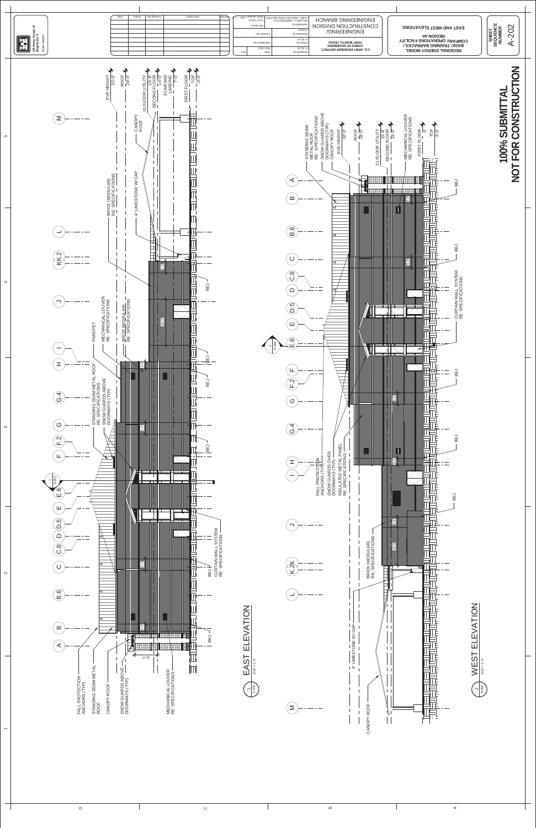

## 100% SUBMITTAL<br>NOT FOR CONSTRUCTION **NOT FOR CONSTRUCTION 100% SUBMITTAL**



 $\hfill \Box$ 

 $\boldsymbol{\omega}$ 

 $\prec$ 

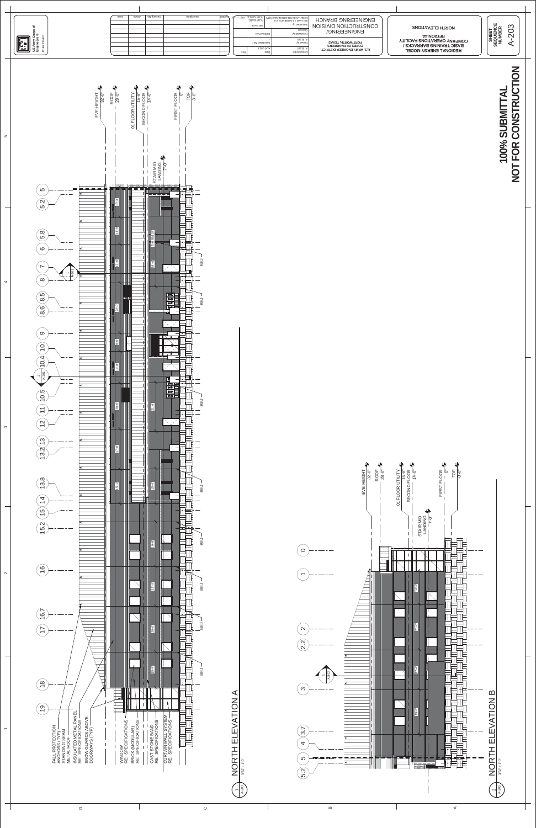

## 100% SUBMITTAL<br>NOT FOR CONSTRUCTION **NOT FOR CONSTRUCTION 100% SUBMITTAL**

 $\sim$ 

 $\infty$ 

 $\overline{4}$ 



| E | noitoA | Description<br>loquine<br>Tracking No. | OHIEF, ARCHITECTURE SECTION PLOT SCALE: 3/32" = 1'. WHERE ARE NCH PLOT DATE:<br>File Name:<br>Contract No.:<br>: oV noitstibilo2<br>AUG 2013<br>: Q<br>$A^2AB$ | Submitted by:<br>Checker<br>Кеviewed by:<br>SITTE V<br>DISWN Dy:<br>SITTE T<br>Designed by: | <b>ENGINEEKING BKYNCH</b><br><b>CONSTRUCTION DIVISION</b><br>ENCINEEKINC\<br>FORT WORTH, TEXAS<br><b>COKЬS OF ENGINEERS</b><br>U.S. ARMY ENGINEER DISTRICT, | <b>RORTH ELEVATIONS</b><br><b>REGION 4A</b><br><b>COMPANY OPERATIONS FACILITY</b><br><b>BASIC TRAINING BARRACKS /</b><br><b>KEGIONAL ENERGY MODEL</b> | $\sim$<br>⊙ ∝<br>SHEET<br>EQUEN<br>KUMBE |
|---|--------|----------------------------------------|----------------------------------------------------------------------------------------------------------------------------------------------------------------|---------------------------------------------------------------------------------------------|-------------------------------------------------------------------------------------------------------------------------------------------------------------|-------------------------------------------------------------------------------------------------------------------------------------------------------|------------------------------------------|